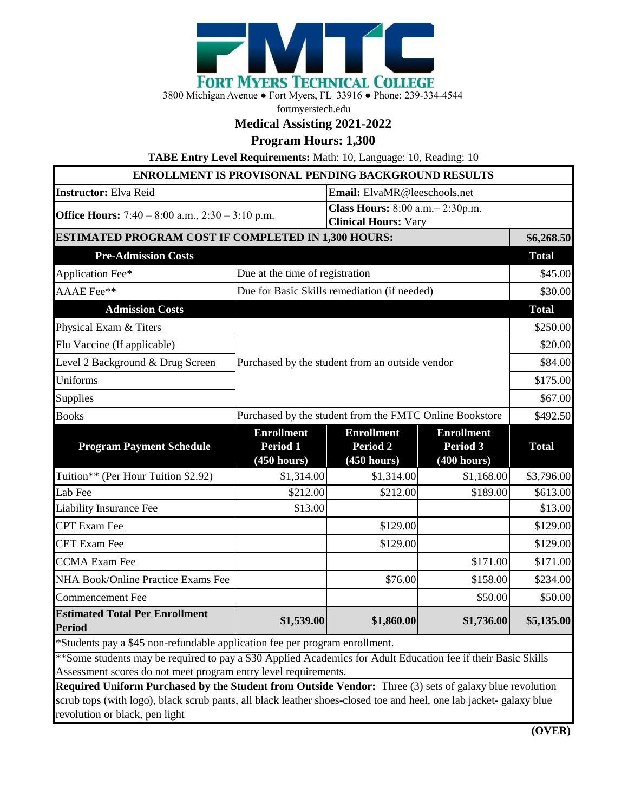

3800 Michigan Avenue ● Fort Myers, FL 33916 ● Phone: 239-334-4544

fortmyerstech.edu

## **Medical Assisting 2021-2022**

**Program Hours: 1,300**

**TABE Entry Level Requirements:** Math: 10, Language: 10, Reading: 10

| <b>ENROLLMENT IS PROVISONAL PENDING BACKGROUND RESULTS</b>                                                                                                                                                                            |                                                         |                                                                  |                                                     |              |
|---------------------------------------------------------------------------------------------------------------------------------------------------------------------------------------------------------------------------------------|---------------------------------------------------------|------------------------------------------------------------------|-----------------------------------------------------|--------------|
| <b>Instructor:</b> Elva Reid                                                                                                                                                                                                          |                                                         | Email: ElvaMR@leeschools.net                                     |                                                     |              |
| <b>Office Hours:</b> $7:40 - 8:00$ a.m., $2:30 - 3:10$ p.m.                                                                                                                                                                           |                                                         | Class Hours: 8:00 a.m. - 2:30p.m.<br><b>Clinical Hours: Vary</b> |                                                     |              |
| ESTIMATED PROGRAM COST IF COMPLETED IN 1,300 HOURS:                                                                                                                                                                                   |                                                         |                                                                  |                                                     | \$6,268.50   |
| <b>Pre-Admission Costs</b>                                                                                                                                                                                                            |                                                         |                                                                  |                                                     | <b>Total</b> |
| Application Fee*                                                                                                                                                                                                                      | Due at the time of registration                         |                                                                  |                                                     | \$45.00      |
| AAAE Fee**                                                                                                                                                                                                                            |                                                         | Due for Basic Skills remediation (if needed)                     |                                                     | \$30.00      |
| <b>Admission Costs</b>                                                                                                                                                                                                                |                                                         |                                                                  |                                                     | <b>Total</b> |
| Physical Exam & Titers                                                                                                                                                                                                                |                                                         |                                                                  |                                                     | \$250.00     |
| Flu Vaccine (If applicable)                                                                                                                                                                                                           |                                                         |                                                                  |                                                     | \$20.00      |
| Level 2 Background & Drug Screen                                                                                                                                                                                                      |                                                         | Purchased by the student from an outside vendor                  |                                                     | \$84.00      |
| Uniforms                                                                                                                                                                                                                              |                                                         |                                                                  |                                                     | \$175.00     |
| Supplies                                                                                                                                                                                                                              |                                                         |                                                                  |                                                     | \$67.00      |
| <b>Books</b>                                                                                                                                                                                                                          | Purchased by the student from the FMTC Online Bookstore |                                                                  |                                                     | \$492.50     |
| <b>Program Payment Schedule</b>                                                                                                                                                                                                       | <b>Enrollment</b><br>Period 1<br>(450 hours)            | <b>Enrollment</b><br><b>Period 2</b><br>(450 hours)              | <b>Enrollment</b><br><b>Period 3</b><br>(400 hours) | <b>Total</b> |
| Tuition** (Per Hour Tuition \$2.92)                                                                                                                                                                                                   | \$1,314.00                                              | \$1,314.00                                                       | \$1,168.00                                          | \$3,796.00   |
| Lab Fee                                                                                                                                                                                                                               | \$212.00                                                | \$212.00                                                         | \$189.00                                            | \$613.00     |
| Liability Insurance Fee                                                                                                                                                                                                               | \$13.00                                                 |                                                                  |                                                     | \$13.00      |
| <b>CPT</b> Exam Fee                                                                                                                                                                                                                   |                                                         | \$129.00                                                         |                                                     | \$129.00     |
| <b>CET Exam Fee</b>                                                                                                                                                                                                                   |                                                         | \$129.00                                                         |                                                     | \$129.00     |
| <b>CCMA</b> Exam Fee                                                                                                                                                                                                                  |                                                         |                                                                  | \$171.00                                            | \$171.00     |
| NHA Book/Online Practice Exams Fee                                                                                                                                                                                                    |                                                         | \$76.00                                                          | \$158.00                                            | \$234.00     |
| <b>Commencement Fee</b>                                                                                                                                                                                                               |                                                         |                                                                  | \$50.00                                             | \$50.00      |
| <b>Estimated Total Per Enrollment</b><br><b>Period</b>                                                                                                                                                                                | \$1,539.00                                              | \$1,860.00                                                       | \$1,736.00                                          | \$5,135.00   |
| *Students pay a \$45 non-refundable application fee per program enrollment.                                                                                                                                                           |                                                         |                                                                  |                                                     |              |
| **Some students may be required to pay a \$30 Applied Academics for Adult Education fee if their Basic Skills<br>Assessment scores do not meet program entry level requirements.                                                      |                                                         |                                                                  |                                                     |              |
| <b>Required Uniform Purchased by the Student from Outside Vendor:</b> Three (3) sets of galaxy blue revolution<br>scrub tops (with logo), black scrub pants, all black leather shoes-closed toe and heel, one lab jacket- galaxy blue |                                                         |                                                                  |                                                     |              |

revolution or black, pen light